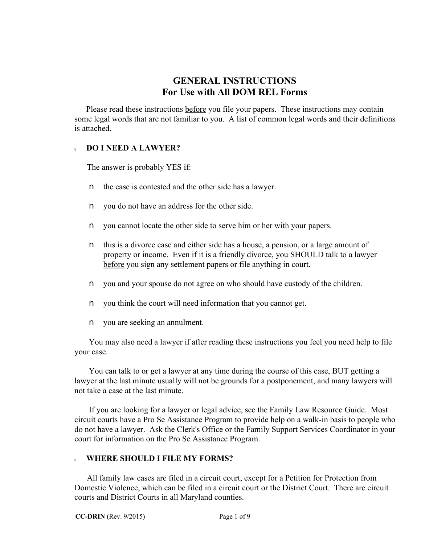# **GENERAL INSTRUCTIONS For Use with All DOM REL Forms**

 Please read these instructions before you file your papers. These instructions may contain some legal words that are not familiar to you. A list of common legal words and their definitions is attached.

## <sup>u</sup>**DO I NEED A LAWYER?**

The answer is probably YES if:

- n the case is contested and the other side has a lawyer.
- n you do not have an address for the other side.
- n you cannot locate the other side to serve him or her with your papers.
- n this is a divorce case and either side has a house, a pension, or a large amount of property or income. Even if it is a friendly divorce, you SHOULD talk to a lawyer before you sign any settlement papers or file anything in court.
- n you and your spouse do not agree on who should have custody of the children.
- n you think the court will need information that you cannot get.
- n you are seeking an annulment.

 You may also need a lawyer if after reading these instructions you feel you need help to file your case.

 You can talk to or get a lawyer at any time during the course of this case, BUT getting a lawyer at the last minute usually will not be grounds for a postponement, and many lawyers will not take a case at the last minute.

 If you are looking for a lawyer or legal advice, see the Family Law Resource Guide. Most circuit courts have a Pro Se Assistance Program to provide help on a walk-in basis to people who do not have a lawyer. Ask the Clerk's Office or the Family Support Services Coordinator in your court for information on the Pro Se Assistance Program.

## <sup>u</sup> **WHERE SHOULD I FILE MY FORMS?**

 All family law cases are filed in a circuit court, except for a Petition for Protection from Domestic Violence, which can be filed in a circuit court or the District Court. There are circuit courts and District Courts in all Maryland counties.

**CC-DRIN** (Rev. 9/2015) Page 1 of 9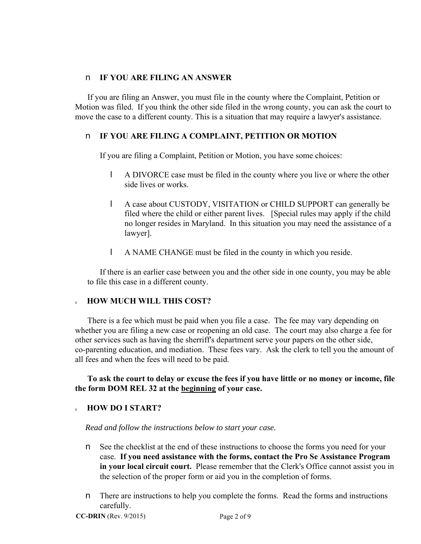## n **IF YOU ARE FILING AN ANSWER**

 If you are filing an Answer, you must file in the county where the Complaint, Petition or Motion was filed. If you think the other side filed in the wrong county, you can ask the court to move the case to a different county. This is a situation that may require a lawyer's assistance.

## n **IF YOU ARE FILING A COMPLAINT, PETITION OR MOTION**

If you are filing a Complaint, Petition or Motion, you have some choices:

- l A DIVORCE case must be filed in the county where you live or where the other side lives or works.
- l A case about CUSTODY, VISITATION or CHILD SUPPORT can generally be filed where the child or either parent lives. [Special rules may apply if the child no longer resides in Maryland. In this situation you may need the assistance of a lawyer].
- l A NAME CHANGE must be filed in the county in which you reside.

 If there is an earlier case between you and the other side in one county, you may be able to file this case in a different county.

## <sup>u</sup>**HOW MUCH WILL THIS COST?**

 There is a fee which must be paid when you file a case. The fee may vary depending on whether you are filing a new case or reopening an old case. The court may also charge a fee for other services such as having the sherriff's department serve your papers on the other side, co-parenting education, and mediation. These fees vary. Ask the clerk to tell you the amount of all fees and when the fees will need to be paid.

## **To ask the court to delay or excuse the fees if you have little or no money or income, file the form DOM REL 32 at the beginning of your case.**

## <sup>u</sup>**HOW DO I START?**

*Read and follow the instructions below to start your case.*

- n See the checklist at the end of these instructions to choose the forms you need for your case. **If you need assistance with the forms, contact the Pro Se Assistance Program in your local circuit court.** Please remember that the Clerk's Office cannot assist you in the selection of the proper form or aid you in the completion of forms.
- n There are instructions to help you complete the forms. Read the forms and instructions carefully.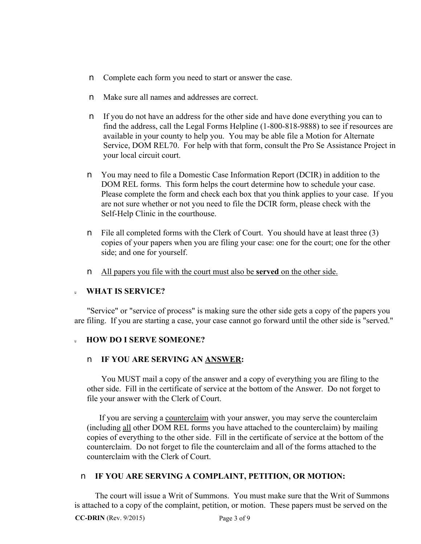- n Complete each form you need to start or answer the case.
- n Make sure all names and addresses are correct.
- n If you do not have an address for the other side and have done everything you can to find the address, call the Legal Forms Helpline (1-800-818-9888) to see if resources are available in your county to help you. You may be able file a Motion for Alternate Service, DOM REL70. For help with that form, consult the Pro Se Assistance Project in your local circuit court.
- n You may need to file a Domestic Case Information Report (DCIR) in addition to the DOM REL forms. This form helps the court determine how to schedule your case. Please complete the form and check each box that you think applies to your case. If you are not sure whether or not you need to file the DCIR form, please check with the Self-Help Clinic in the courthouse.
- n File all completed forms with the Clerk of Court. You should have at least three (3) copies of your papers when you are filing your case: one for the court; one for the other side; and one for yourself.
- n All papers you file with the court must also be **served** on the other side.

## <sup>u</sup>**WHAT IS SERVICE?**

"Service" or "service of process" is making sure the other side gets a copy of the papers you are filing. If you are starting a case, your case cannot go forward until the other side is "served."

## <sup>u</sup>**HOW DO I SERVE SOMEONE?**

## n **IF YOU ARE SERVING AN ANSWER:**

You MUST mail a copy of the answer and a copy of everything you are filing to the other side. Fill in the certificate of service at the bottom of the Answer. Do not forget to file your answer with the Clerk of Court.

 If you are serving a counterclaim with your answer, you may serve the counterclaim (including all other DOM REL forms you have attached to the counterclaim) by mailing copies of everything to the other side. Fill in the certificate of service at the bottom of the counterclaim. Do not forget to file the counterclaim and all of the forms attached to the counterclaim with the Clerk of Court.

## n **IF YOU ARE SERVING A COMPLAINT, PETITION, OR MOTION:**

 The court will issue a Writ of Summons. You must make sure that the Writ of Summons is attached to a copy of the complaint, petition, or motion. These papers must be served on the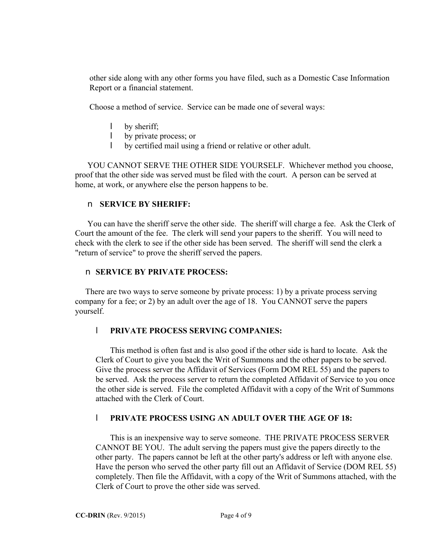other side along with any other forms you have filed, such as a Domestic Case Information Report or a financial statement.

Choose a method of service. Service can be made one of several ways:

- l by sheriff;
- l by private process; or
- l by certified mail using a friend or relative or other adult.

 YOU CANNOT SERVE THE OTHER SIDE YOURSELF. Whichever method you choose, proof that the other side was served must be filed with the court. A person can be served at home, at work, or anywhere else the person happens to be.

## n **SERVICE BY SHERIFF:**

 You can have the sheriff serve the other side. The sheriff will charge a fee. Ask the Clerk of Court the amount of the fee. The clerk will send your papers to the sheriff. You will need to check with the clerk to see if the other side has been served. The sheriff will send the clerk a "return of service" to prove the sheriff served the papers.

## n **SERVICE BY PRIVATE PROCESS:**

There are two ways to serve someone by private process: 1) by a private process serving company for a fee; or 2) by an adult over the age of 18. You CANNOT serve the papers yourself.

## l **PRIVATE PROCESS SERVING COMPANIES:**

 This method is often fast and is also good if the other side is hard to locate. Ask the Clerk of Court to give you back the Writ of Summons and the other papers to be served. Give the process server the Affidavit of Services (Form DOM REL 55) and the papers to be served. Ask the process server to return the completed Affidavit of Service to you once the other side is served. File the completed Affidavit with a copy of the Writ of Summons attached with the Clerk of Court.

## l **PRIVATE PROCESS USING AN ADULT OVER THE AGE OF 18:**

 This is an inexpensive way to serve someone. THE PRIVATE PROCESS SERVER CANNOT BE YOU. The adult serving the papers must give the papers directly to the other party. The papers cannot be left at the other party's address or left with anyone else. Have the person who served the other party fill out an Affidavit of Service (DOM REL 55) completely. Then file the Affidavit, with a copy of the Writ of Summons attached, with the Clerk of Court to prove the other side was served.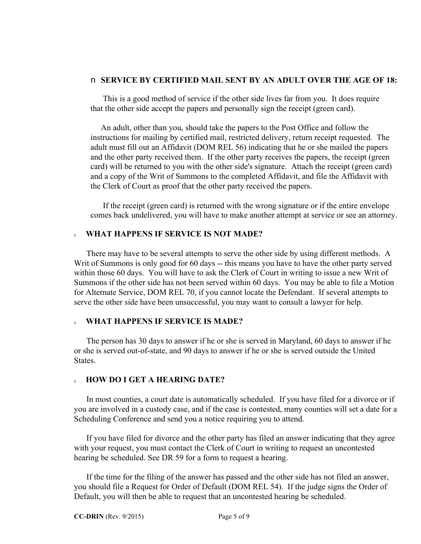#### n **SERVICE BY CERTIFIED MAIL SENT BY AN ADULT OVER THE AGE OF 18:**

This is a good method of service if the other side lives far from you. It does require that the other side accept the papers and personally sign the receipt (green card).

 An adult, other than you, should take the papers to the Post Office and follow the instructions for mailing by certified mail, restricted delivery, return receipt requested. The adult must fill out an Affidavit (DOM REL 56) indicating that he or she mailed the papers and the other party received them. If the other party receives the papers, the receipt (green card) will be returned to you with the other side's signature. Attach the receipt (green card) and a copy of the Writ of Summons to the completed Affidavit, and file the Affidavit with the Clerk of Court as proof that the other party received the papers.

 If the receipt (green card) is returned with the wrong signature or if the entire envelope comes back undelivered, you will have to make another attempt at service or see an attorney.

#### <sup>u</sup>**WHAT HAPPENS IF SERVICE IS NOT MADE?**

There may have to be several attempts to serve the other side by using different methods. A Writ of Summons is only good for 60 days -- this means you have to have the other party served within those 60 days. You will have to ask the Clerk of Court in writing to issue a new Writ of Summons if the other side has not been served within 60 days. You may be able to file a Motion for Alternate Service, DOM REL 70, if you cannot locate the Defendant. If several attempts to serve the other side have been unsuccessful, you may want to consult a lawyer for help.

#### <sup>u</sup>**WHAT HAPPENS IF SERVICE IS MADE?**

The person has 30 days to answer if he or she is served in Maryland, 60 days to answer if he or she is served out-of-state, and 90 days to answer if he or she is served outside the United **States**.

#### <sup>u</sup>**HOW DO I GET A HEARING DATE?**

In most counties, a court date is automatically scheduled. If you have filed for a divorce or if you are involved in a custody case, and if the case is contested, many counties will set a date for a Scheduling Conference and send you a notice requiring you to attend.

 If you have filed for divorce and the other party has filed an answer indicating that they agree with your request, you must contact the Clerk of Court in writing to request an uncontested hearing be scheduled. See DR 59 for a form to request a hearing.

 If the time for the filing of the answer has passed and the other side has not filed an answer, you should file a Request for Order of Default (DOM REL 54). If the judge signs the Order of Default, you will then be able to request that an uncontested hearing be scheduled.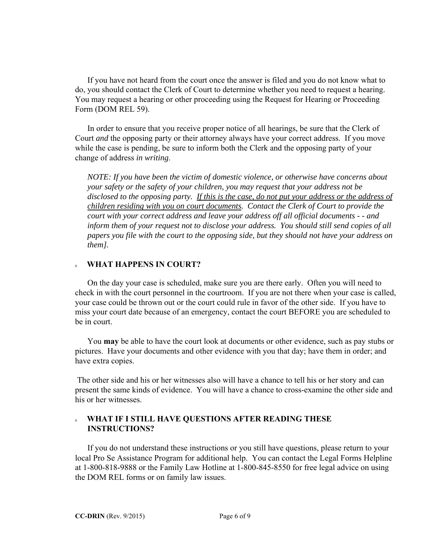If you have not heard from the court once the answer is filed and you do not know what to do, you should contact the Clerk of Court to determine whether you need to request a hearing. You may request a hearing or other proceeding using the Request for Hearing or Proceeding Form (DOM REL 59).

 In order to ensure that you receive proper notice of all hearings, be sure that the Clerk of Court *and* the opposing party or their attorney always have your correct address. If you move while the case is pending, be sure to inform both the Clerk and the opposing party of your change of address *in writing*.

 *NOTE: If you have been the victim of domestic violence, or otherwise have concerns about your safety or the safety of your children, you may request that your address not be disclosed to the opposing party. If this is the case, do not put your address or the address of children residing with you on court documents. Contact the Clerk of Court to provide the court with your correct address and leave your address off all official documents - - and inform them of your request not to disclose your address. You should still send copies of all papers you file with the court to the opposing side, but they should not have your address on them].*

#### <sup>u</sup>**WHAT HAPPENS IN COURT?**

On the day your case is scheduled, make sure you are there early. Often you will need to check in with the court personnel in the courtroom. If you are not there when your case is called, your case could be thrown out or the court could rule in favor of the other side. If you have to miss your court date because of an emergency, contact the court BEFORE you are scheduled to be in court.

 You **may** be able to have the court look at documents or other evidence, such as pay stubs or pictures. Have your documents and other evidence with you that day; have them in order; and have extra copies.

 The other side and his or her witnesses also will have a chance to tell his or her story and can present the same kinds of evidence. You will have a chance to cross-examine the other side and his or her witnesses.

## <sup>u</sup>**WHAT IF I STILL HAVE QUESTIONS AFTER READING THESE INSTRUCTIONS?**

If you do not understand these instructions or you still have questions, please return to your local Pro Se Assistance Program for additional help. You can contact the Legal Forms Helpline at 1-800-818-9888 or the Family Law Hotline at 1-800-845-8550 for free legal advice on using the DOM REL forms or on family law issues.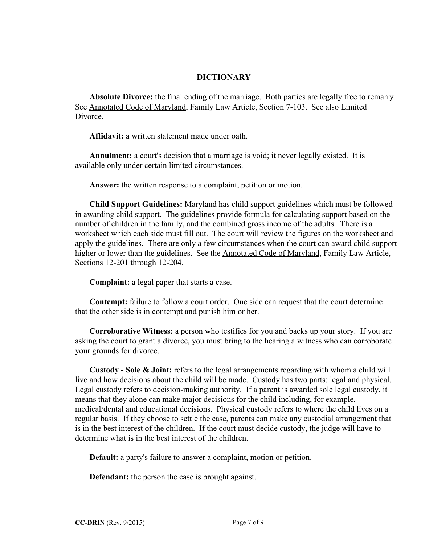## **DICTIONARY**

 **Absolute Divorce:** the final ending of the marriage. Both parties are legally free to remarry. See Annotated Code of Maryland, Family Law Article, Section 7-103. See also Limited Divorce.

**Affidavit:** a written statement made under oath.

 **Annulment:** a court's decision that a marriage is void; it never legally existed. It is available only under certain limited circumstances.

**Answer:** the written response to a complaint, petition or motion.

 **Child Support Guidelines:** Maryland has child support guidelines which must be followed in awarding child support. The guidelines provide formula for calculating support based on the number of children in the family, and the combined gross income of the adults. There is a worksheet which each side must fill out. The court will review the figures on the worksheet and apply the guidelines. There are only a few circumstances when the court can award child support higher or lower than the guidelines. See the Annotated Code of Maryland, Family Law Article, Sections 12-201 through 12-204.

**Complaint:** a legal paper that starts a case.

 **Contempt:** failure to follow a court order. One side can request that the court determine that the other side is in contempt and punish him or her.

 **Corroborative Witness:** a person who testifies for you and backs up your story. If you are asking the court to grant a divorce, you must bring to the hearing a witness who can corroborate your grounds for divorce.

 **Custody - Sole & Joint:** refers to the legal arrangements regarding with whom a child will live and how decisions about the child will be made. Custody has two parts: legal and physical. Legal custody refers to decision-making authority. If a parent is awarded sole legal custody, it means that they alone can make major decisions for the child including, for example, medical/dental and educational decisions. Physical custody refers to where the child lives on a regular basis. If they choose to settle the case, parents can make any custodial arrangement that is in the best interest of the children. If the court must decide custody, the judge will have to determine what is in the best interest of the children.

**Default:** a party's failure to answer a complaint, motion or petition.

**Defendant:** the person the case is brought against.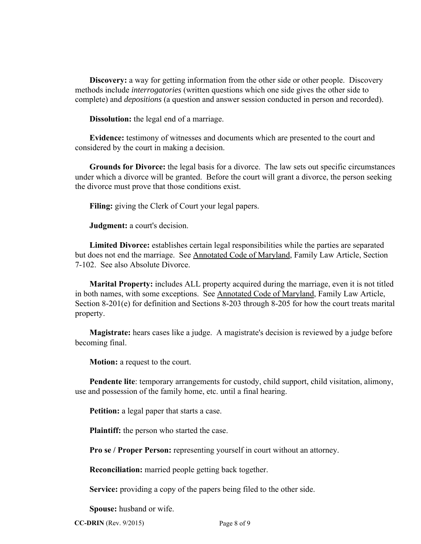**Discovery:** a way for getting information from the other side or other people. Discovery methods include *interrogatories* (written questions which one side gives the other side to complete) and *depositions* (a question and answer session conducted in person and recorded).

**Dissolution:** the legal end of a marriage.

 **Evidence:** testimony of witnesses and documents which are presented to the court and considered by the court in making a decision.

 **Grounds for Divorce:** the legal basis for a divorce. The law sets out specific circumstances under which a divorce will be granted. Before the court will grant a divorce, the person seeking the divorce must prove that those conditions exist.

**Filing:** giving the Clerk of Court your legal papers.

**Judgment:** a court's decision.

 **Limited Divorce:** establishes certain legal responsibilities while the parties are separated but does not end the marriage. See Annotated Code of Maryland, Family Law Article, Section 7-102. See also Absolute Divorce.

 **Marital Property:** includes ALL property acquired during the marriage, even it is not titled in both names, with some exceptions. See Annotated Code of Maryland, Family Law Article, Section 8-201(e) for definition and Sections 8-203 through 8-205 for how the court treats marital property.

 **Magistrate:** hears cases like a judge. A magistrate's decision is reviewed by a judge before becoming final.

**Motion:** a request to the court.

 **Pendente lite**: temporary arrangements for custody, child support, child visitation, alimony, use and possession of the family home, etc. until a final hearing.

**Petition:** a legal paper that starts a case.

**Plaintiff:** the person who started the case.

**Pro se / Proper Person:** representing yourself in court without an attorney.

**Reconciliation:** married people getting back together.

**Service:** providing a copy of the papers being filed to the other side.

**Spouse:** husband or wife.

**CC-DRIN** (Rev. 9/2015) Page 8 of 9